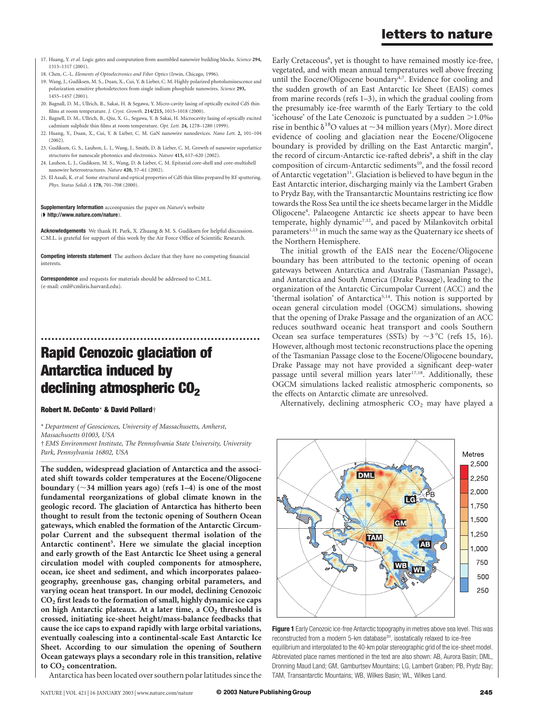# letters to nature

- 17. Huang, Y. et al. Logic gates and computation from assembled nanowire building blocks. Science 294, 1313–1317 (2001).
- 18. Chen, C.-L. Elements of Optoelectronics and Fiber Optics (Irwin, Chicago, 1996).
- 19. Wang, J., Gudiksen, M. S., Duan, X., Cui, Y. & Lieber, C. M. Highly polarized photoluminescence and polarization sensitive photodetectors from single indium phosphide nanowires. Science 293, 1455–1457 (2001).
- 20. Bagnall, D. M., Ullrich, B., Sakai, H. & Segawa, Y. Micro-cavity lasing of optically excited CdS thin films at room temperature. J. Cryst. Growth. 214/215, 1015–1018 (2000).
- 21. Bagnell, D. M., Ullrich, B., Qiu, X. G., Segawa, Y. & Sakai, H. Microcavity lasing of optically excited cadmium sulphide thin films at room temperature. Opt. Lett. 24, 1278–1280 (1999).
- 22. Huang, Y., Duan, X., Cui, Y. & Lieber, C. M. GaN nanowire nanodevices. Nano Lett. 2, 101–104  $(2002)$
- 23. Gudiksen, G. S., Lauhon, L. J., Wang, J., Smith, D. & Lieber, C. M. Growth of nanowire superlattice structures for nanoscale photonics and electronics. Nature 415, 617–620 (2002).
- 24. Lauhon, L. J., Gudiksen, M. S., Wang, D. & Lieber, C. M. Epitaxial core-shell and core-multishell nanowire heterostructures. Nature 420, 57–61 (2002).
- 25. El Assali, K. et al. Some structural and optical properties of CdS thin films prepared by RF sputtering. Phys. Status Solidi A 178, 701–708 (2000).

#### Supplementary Information accompanies the paper on Nature's website ( $\blacktriangleright$  http://www.nature.com/nature).

Acknowledgements We thank H. Park, X. Zhuang & M. S. Gudiksen for helpful discussion. C.M.L. is grateful for support of this work by the Air Force Office of Scientific Research.

Competing interests statement The authors declare that they have no competing financial interests.

Correspondence and requests for materials should be addressed to C.M.L. (e-mail: cml@cmliris.harvard.edu).

# .............................................................. Rapid Cenozoic glaciation of Antarctica induced by declining atmospheric  $CO<sub>2</sub>$

### Robert M. DeConto\* & David Pollard†

\* Department of Geosciences, University of Massachusetts, Amherst, Massachusetts 01003, USA † EMS Environment Institute, The Pennsylvania State University, University Park, Pennsylvania 16802, USA

............................................................................................................................................................................. The sudden, widespread glaciation of Antarctica and the associated shift towards colder temperatures at the Eocene/Oligocene boundary ( $\sim$ 34 million years ago) (refs 1–4) is one of the most fundamental reorganizations of global climate known in the geologic record. The glaciation of Antarctica has hitherto been thought to result from the tectonic opening of Southern Ocean gateways, which enabled the formation of the Antarctic Circumpolar Current and the subsequent thermal isolation of the Antarctic continent<sup>5</sup>. Here we simulate the glacial inception and early growth of the East Antarctic Ice Sheet using a general circulation model with coupled components for atmosphere, ocean, ice sheet and sediment, and which incorporates palaeogeography, greenhouse gas, changing orbital parameters, and varying ocean heat transport. In our model, declining Cenozoic  $CO<sub>2</sub>$  first leads to the formation of small, highly dynamic ice caps on high Antarctic plateaux. At a later time, a  $CO<sub>2</sub>$  threshold is crossed, initiating ice-sheet height/mass-balance feedbacks that cause the ice caps to expand rapidly with large orbital variations, eventually coalescing into a continental-scale East Antarctic Ice Sheet. According to our simulation the opening of Southern Ocean gateways plays a secondary role in this transition, relative to  $CO<sub>2</sub>$  concentration.

Antarctica has been located over southern polar latitudes since the

Early Cretaceous<sup>6</sup>, yet is thought to have remained mostly ice-free, vegetated, and with mean annual temperatures well above freezing until the Eocene/Oligocene boundary<sup>4,7</sup>. Evidence for cooling and the sudden growth of an East Antarctic Ice Sheet (EAIS) comes from marine records (refs 1–3), in which the gradual cooling from the presumably ice-free warmth of the Early Tertiary to the cold 'icehouse' of the Late Cenozoic is punctuated by a sudden  $>1.0\%$ rise in benthic  $\delta^{18}$ O values at  $\sim$ 34 million years (Myr). More direct evidence of cooling and glaciation near the Eocene/Oligocene boundary is provided by drilling on the East Antarctic margin<sup>8</sup>, the record of circum-Antarctic ice-rafted debris<sup>9</sup>, a shift in the clay composition of circum-Antarctic sediments<sup>10</sup>, and the fossil record of Antarctic vegetation<sup>11</sup>. Glaciation is believed to have begun in the East Antarctic interior, discharging mainly via the Lambert Graben to Prydz Bay, with the Transantarctic Mountains restricting ice flow towards the Ross Sea until the ice sheets became larger in the Middle Oligocene<sup>4</sup>. Palaeogene Antarctic ice sheets appear to have been temperate, highly dynamic<sup>7,12</sup>, and paced by Milankovitch orbital parameters<sup>1,13</sup> in much the same way as the Quaternary ice sheets of the Northern Hemisphere.

The initial growth of the EAIS near the Eocene/Oligocene boundary has been attributed to the tectonic opening of ocean gateways between Antarctica and Australia (Tasmanian Passage), and Antarctica and South America (Drake Passage), leading to the organization of the Antarctic Circumpolar Current (ACC) and the 'thermal isolation' of Antarctica<sup>5,14</sup>. This notion is supported by ocean general circulation model (OGCM) simulations, showing that the opening of Drake Passage and the organization of an ACC reduces southward oceanic heat transport and cools Southern Ocean sea surface temperatures (SSTs) by  $\sim$ 3 °C (refs 15, 16). However, although most tectonic reconstructions place the opening of the Tasmanian Passage close to the Eocene/Oligocene boundary, Drake Passage may not have provided a significant deep-water passage until several million years later<sup>17,18</sup>. Additionally, these OGCM simulations lacked realistic atmospheric components, so the effects on Antarctic climate are unresolved.

Alternatively, declining atmospheric  $CO<sub>2</sub>$  may have played a



Figure 1 Early Cenozoic ice-free Antarctic topography in metres above sea level. This was reconstructed from a modern 5-km database<sup>30</sup>, isostatically relaxed to ice-free equilibrium and interpolated to the 40-km polar stereographic grid of the ice-sheet model. Abbreviated place names mentioned in the text are also shown: AB, Aurora Basin; DML, Dronning Maud Land; GM, Gamburtsev Mountains; LG, Lambert Graben; PB, Prydz Bay; TAM, Transantarctic Mountains; WB, Wilkes Basin; WL, Wilkes Land.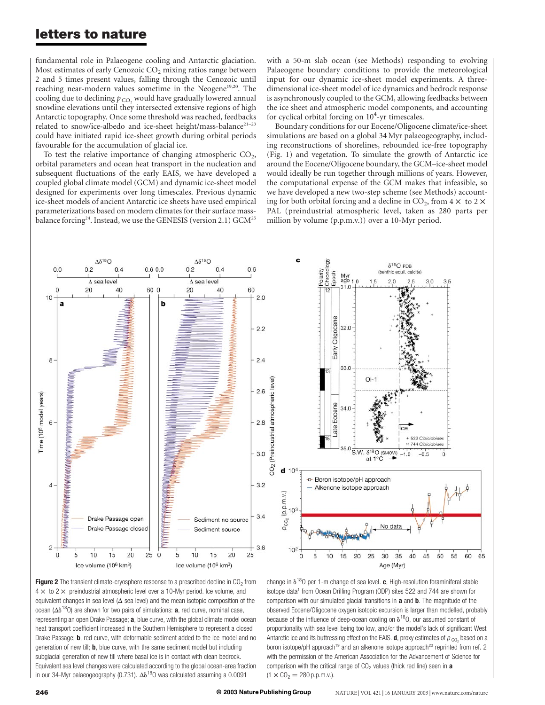# letters to nature

fundamental role in Palaeogene cooling and Antarctic glaciation. Most estimates of early Cenozoic  $CO<sub>2</sub>$  mixing ratios range between 2 and 5 times present values, falling through the Cenozoic until reaching near-modern values sometime in the Neogene<sup>19,20</sup>. The cooling due to declining  $p_{CO}$ , would have gradually lowered annual snowline elevations until they intersected extensive regions of high Antarctic topography. Once some threshold was reached, feedbacks related to snow/ice-albedo and ice-sheet height/mass-balance<sup>21-23</sup> could have initiated rapid ice-sheet growth during orbital periods favourable for the accumulation of glacial ice.

To test the relative importance of changing atmospheric  $CO<sub>2</sub>$ , orbital parameters and ocean heat transport in the nucleation and subsequent fluctuations of the early EAIS, we have developed a coupled global climate model (GCM) and dynamic ice-sheet model designed for experiments over long timescales. Previous dynamic ice-sheet models of ancient Antarctic ice sheets have used empirical parameterizations based on modern climates for their surface massbalance forcing<sup>24</sup>. Instead, we use the GENESIS (version 2.1) GCM<sup>25</sup> with a 50-m slab ocean (see Methods) responding to evolving Palaeogene boundary conditions to provide the meteorological input for our dynamic ice-sheet model experiments. A threedimensional ice-sheet model of ice dynamics and bedrock response is asynchronously coupled to the GCM, allowing feedbacks between the ice sheet and atmospheric model components, and accounting for cyclical orbital forcing on  $10^4$ -yr timescales.

Boundary conditions for our Eocene/Oligocene climate/ice-sheet simulations are based on a global 34 Myr palaeogeography, including reconstructions of shorelines, rebounded ice-free topography (Fig. 1) and vegetation. To simulate the growth of Antarctic ice around the Eocene/Oligocene boundary, the GCM–ice-sheet model would ideally be run together through millions of years. However, the computational expense of the GCM makes that infeasible, so we have developed a new two-step scheme (see Methods) accounting for both orbital forcing and a decline in  $CO_2$ , from  $4 \times$  to  $2 \times$ PAL (preindustrial atmospheric level, taken as 280 parts per million by volume (p.p.m.v.)) over a 10-Myr period.

 $\delta^{18}O$  PDB

c



**Figure 2** The transient climate-cryosphere response to a prescribed decline in  $CO<sub>2</sub>$  from  $4 \times$  to 2  $\times$  preindustrial atmospheric level over a 10-Myr period. Ice volume, and equivalent changes in sea level ( $\Delta$  sea level) and the mean isotopic composition of the ocean ( $\Delta\delta^{18}$ O) are shown for two pairs of simulations: **a**, red curve, nominal case, representing an open Drake Passage; a, blue curve, with the global climate model ocean heat transport coefficient increased in the Southern Hemisphere to represent a closed Drake Passage; **b**, red curve, with deformable sediment added to the ice model and no generation of new till; **b**, blue curve, with the same sediment model but including subglacial generation of new till where basal ice is in contact with clean bedrock. Equivalent sea level changes were calculated according to the global ocean-area fraction in our 34-Myr palaeogeography (0.731).  $\Delta\delta^{18}$ O was calculated assuming a 0.0091



change in  $\delta^{18}$ O per 1-m change of sea level. c, High-resolution foraminiferal stable isotope data<sup>1</sup> from Ocean Drilling Program (ODP) sites 522 and 744 are shown for comparison with our simulated glacial transitions in **a** and **b**. The magnitude of the observed Eocene/Oligocene oxygen isotopic excursion is larger than modelled, probably because of the influence of deep-ocean cooling on  $\delta^{18}$ O, our assumed constant of proportionality with sea level being too low, and/or the model's lack of significant West Antarctic ice and its buttressing effect on the EAIS. **d**, proxy estimates of  $p_{\text{CO}_2}$  based on a boron isotope/pH approach<sup>19</sup> and an alkenone isotope approach<sup>20</sup> reprinted from ref. 2 with the permission of the American Association for the Advancement of Science for comparison with the critical range of  $CO<sub>2</sub>$  values (thick red line) seen in a  $(1 \times CO<sub>2</sub> = 280 p.p.m.v.).$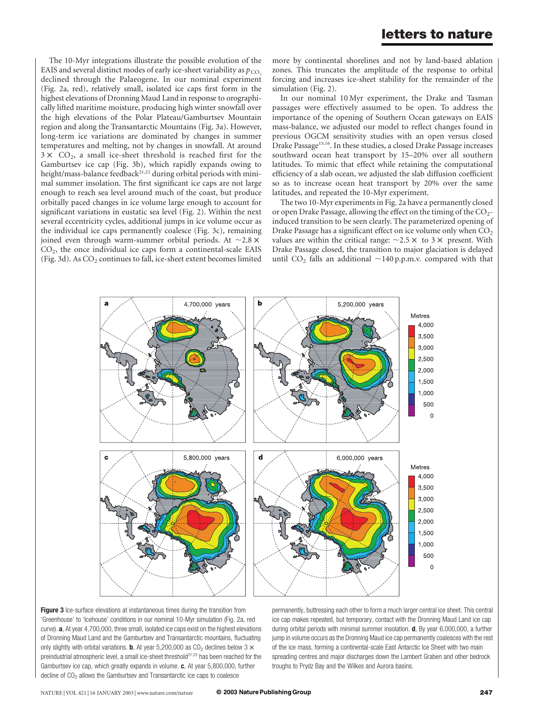The 10-Myr integrations illustrate the possible evolution of the EAIS and several distinct modes of early ice-sheet variability as  $p_{CO}$ . declined through the Palaeogene. In our nominal experiment (Fig. 2a, red), relatively small, isolated ice caps first form in the highest elevations of Dronning Maud Land in response to orographically lifted maritime moisture, producing high winter snowfall over the high elevations of the Polar Plateau/Gamburtsev Mountain region and along the Transantarctic Mountains (Fig. 3a). However, long-term ice variations are dominated by changes in summer temperatures and melting, not by changes in snowfall. At around  $3 \times CO<sub>2</sub>$ , a small ice-sheet threshold is reached first for the Gamburtsev ice cap (Fig. 3b), which rapidly expands owing to height/mass-balance feedback<sup>21,22</sup> during orbital periods with minimal summer insolation. The first significant ice caps are not large enough to reach sea level around much of the coast, but produce orbitally paced changes in ice volume large enough to account for significant variations in eustatic sea level (Fig. 2). Within the next several eccentricity cycles, additional jumps in ice volume occur as the individual ice caps permanently coalesce (Fig. 3c), remaining joined even through warm-summer orbital periods. At  $\sim$ 2.8  $\times$ CO2, the once individual ice caps form a continental-scale EAIS (Fig. 3d). As  $CO_2$  continues to fall, ice-sheet extent becomes limited

more by continental shorelines and not by land-based ablation zones. This truncates the amplitude of the response to orbital forcing and increases ice-sheet stability for the remainder of the simulation (Fig. 2).

In our nominal 10 Myr experiment, the Drake and Tasman passages were effectively assumed to be open. To address the importance of the opening of Southern Ocean gateways on EAIS mass-balance, we adjusted our model to reflect changes found in previous OGCM sensitivity studies with an open versus closed Drake Passage15,16. In these studies, a closed Drake Passage increases southward ocean heat transport by 15–20% over all southern latitudes. To mimic that effect while retaining the computational efficiency of a slab ocean, we adjusted the slab diffusion coefficient so as to increase ocean heat transport by 20% over the same latitudes, and repeated the 10-Myr experiment.

The two 10-Myr experiments in Fig. 2a have a permanently closed or open Drake Passage, allowing the effect on the timing of the  $CO<sub>2</sub>$ induced transition to be seen clearly. The parameterized opening of Drake Passage has a significant effect on ice volume only when  $CO<sub>2</sub>$ values are within the critical range:  $\sim$ 2.5  $\times$  to 3  $\times$  present. With Drake Passage closed, the transition to major glaciation is delayed until CO<sub>2</sub> falls an additional  $\sim$ 140 p.p.m.v. compared with that



Figure 3 Ice-surface elevations at instantaneous times during the transition from 'Greenhouse' to 'Icehouse' conditions in our nominal 10-Myr simulation (Fig. 2a, red curve). a, At year 4,700,000, three small, isolated ice caps exist on the highest elevations of Dronning Maud Land and the Gamburtsev and Transantarctic mountains, fluctuating only slightly with orbital variations. **b**, At year 5,200,000 as  $CO<sub>2</sub>$  declines below 3  $\times$ preindustrial atmospheric level, a small ice-sheet threshold<sup>21,22</sup> has been reached for the Gamburtsev ice cap, which greatly expands in volume. c, At year 5,800,000, further decline of CO<sub>2</sub> allows the Gamburtsev and Transantarctic ice caps to coalesce

permanently, buttressing each other to form a much larger central ice sheet. This central ice cap makes repeated, but temporary, contact with the Dronning Maud Land ice cap during orbital periods with minimal summer insolation. **d**, By year 6,000,000, a further jump in volume occurs as the Dronning Maud ice cap permanently coalesces with the rest of the ice mass, forming a continental-scale East Antarctic Ice Sheet with two main spreading centres and major discharges down the Lambert Graben and other bedrock troughs to Prydz Bay and the Wilkes and Aurora basins.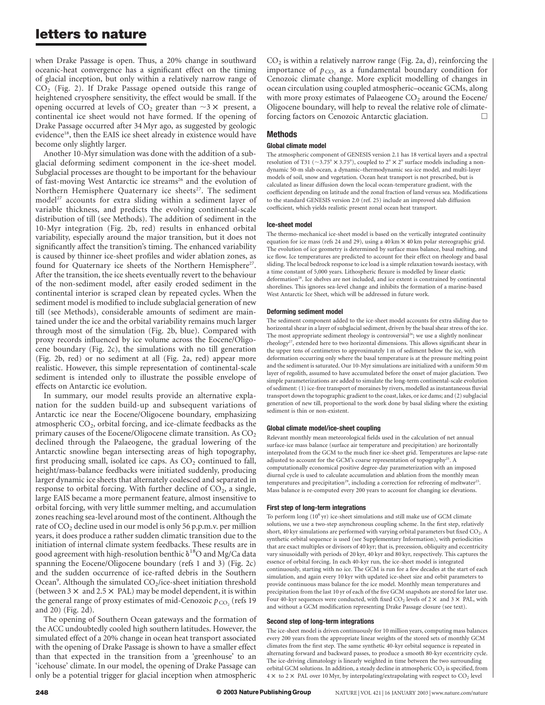# letters to nature

when Drake Passage is open. Thus, a 20% change in southward oceanic-heat convergence has a significant effect on the timing of glacial inception, but only within a relatively narrow range of  $CO<sub>2</sub>$  (Fig. 2). If Drake Passage opened outside this range of heightened cryosphere sensitivity, the effect would be small. If the opening occurred at levels of  $CO_2$  greater than  $\sim$ 3  $\times$  present, a continental ice sheet would not have formed. If the opening of Drake Passage occurred after 34 Myr ago, as suggested by geologic evidence<sup>18</sup>, then the EAIS ice sheet already in existence would have become only slightly larger.

Another 10-Myr simulation was done with the addition of a subglacial deforming sediment component in the ice-sheet model. Subglacial processes are thought to be important for the behaviour of fast-moving West Antarctic ice streams<sup>26</sup> and the evolution of Northern Hemisphere Quaternary ice sheets<sup>27</sup>. The sediment model<sup>27</sup> accounts for extra sliding within a sediment layer of variable thickness, and predicts the evolving continental-scale distribution of till (see Methods). The addition of sediment in the 10-Myr integration (Fig. 2b, red) results in enhanced orbital variability, especially around the major transition, but it does not significantly affect the transition's timing. The enhanced variability is caused by thinner ice-sheet profiles and wider ablation zones, as found for Quaternary ice sheets of the Northern Hemisphere<sup>27</sup>. After the transition, the ice sheets eventually revert to the behaviour of the non-sediment model, after easily eroded sediment in the continental interior is scraped clean by repeated cycles. When the sediment model is modified to include subglacial generation of new till (see Methods), considerable amounts of sediment are maintained under the ice and the orbital variability remains much larger through most of the simulation (Fig. 2b, blue). Compared with proxy records influenced by ice volume across the Eocene/Oligocene boundary (Fig. 2c), the simulations with no till generation (Fig. 2b, red) or no sediment at all (Fig. 2a, red) appear more realistic. However, this simple representation of continental-scale sediment is intended only to illustrate the possible envelope of effects on Antarctic ice evolution.

In summary, our model results provide an alternative explanation for the sudden build-up and subsequent variations of Antarctic ice near the Eocene/Oligocene boundary, emphasizing atmospheric  $CO<sub>2</sub>$ , orbital forcing, and ice-climate feedbacks as the primary causes of the Eocene/Oligocene climate transition. As  $CO<sub>2</sub>$ declined through the Palaeogene, the gradual lowering of the Antarctic snowline began intersecting areas of high topography, first producing small, isolated ice caps. As  $CO<sub>2</sub>$  continued to fall, height/mass-balance feedbacks were initiated suddenly, producing larger dynamic ice sheets that alternately coalesced and separated in response to orbital forcing. With further decline of  $CO<sub>2</sub>$ , a single, large EAIS became a more permanent feature, almost insensitive to orbital forcing, with very little summer melting, and accumulation zones reaching sea-level around most of the continent. Although the rate of  $CO_2$  decline used in our model is only 56 p.p.m.v. per million years, it does produce a rather sudden climatic transition due to the initiation of internal climate system feedbacks. These results are in good agreement with high-resolution benthic  $\delta^{18}O$  and Mg/Ca data spanning the Eocene/Oligocene boundary (refs 1 and 3) (Fig. 2c) and the sudden occurrence of ice-rafted debris in the Southern Ocean<sup>9</sup>. Although the simulated CO<sub>2</sub>/ice-sheet initiation threshold (between  $3 \times$  and  $2.5 \times$  PAL) may be model dependent, it is within the general range of proxy estimates of mid-Cenozoic  $p_{CO}$ , (refs 19 and 20) (Fig. 2d).

The opening of Southern Ocean gateways and the formation of the ACC undoubtedly cooled high southern latitudes. However, the simulated effect of a 20% change in ocean heat transport associated with the opening of Drake Passage is shown to have a smaller effect than that expected in the transition from a 'greenhouse' to an 'icehouse' climate. In our model, the opening of Drake Passage can only be a potential trigger for glacial inception when atmospheric  $CO<sub>2</sub>$  is within a relatively narrow range (Fig. 2a, d), reinforcing the importance of  $p_{CO_2}$  as a fundamental boundary condition for Cenozoic climate change. More explicit modelling of changes in ocean circulation using coupled atmospheric–oceanic GCMs, along with more proxy estimates of Palaeogene  $CO<sub>2</sub>$  around the Eocene/ Oligocene boundary, will help to reveal the relative role of climateforcing factors on Cenozoic Antarctic glaciation.

## Methods

### Global climate model

The atmospheric component of GENESIS version 2.1 has 18 vertical layers and a spectral resolution of T31 ( $\sim$ 3.75°), coupled to 2°  $\times$  2° surface models including a nondynamic 50-m slab ocean, a dynamic–thermodynamic sea-ice model, and multi-layer models of soil, snow and vegetation. Ocean heat transport is not prescribed, but is calculated as linear diffusion down the local ocean-temperature gradient, with the coefficient depending on latitude and the zonal fraction of land versus sea. Modifications to the standard GENESIS version 2.0 (ref. 25) include an improved slab diffusion coefficient, which yields realistic present zonal ocean heat transport.

#### Ice-sheet model

The thermo-mechanical ice-sheet model is based on the vertically integrated continuity equation for ice mass (refs 24 and 29), using a 40 km  $\times$  40 km polar stereographic grid. The evolution of ice geometry is determined by surface mass balance, basal melting, and ice flow. Ice temperatures are predicted to account for their effect on rheology and basal sliding. The local bedrock response to ice load is a simple relaxation towards isostacy, with a time constant of 5,000 years. Lithospheric flexure is modelled by linear elastic deformation<sup>28</sup>. Ice shelves are not included, and ice extent is constrained by continental shorelines. This ignores sea-level change and inhibits the formation of a marine-based West Antarctic Ice Sheet, which will be addressed in future work.

#### Deforming sediment model

The sediment component added to the ice-sheet model accounts for extra sliding due to horizontal shear in a layer of subglacial sediment, driven by the basal shear stress of the ice. The most appropriate sediment rheology is controversial<sup>26</sup>; we use a slightly nonlinear rheology<sup>27</sup>, extended here to two horizontal dimensions. This allows significant shear in the upper tens of centimetres to approximately 1 m of sediment below the ice, with deformation occurring only where the basal temperature is at the pressure melting point and the sediment is saturated. Our 10-Myr simulations are initialized with a uniform 50 m layer of regolith, assumed to have accumulated before the onset of major glaciation. Two simple parameterizations are added to simulate the long-term continental-scale evolution of sediment: (1) ice-free transport of moraines by rivers, modelled as instantaneous fluvial transport down the topographic gradient to the coast, lakes, or ice dams; and (2) subglacial generation of new till, proportional to the work done by basal sliding where the existing sediment is thin or non-existent.

#### Global climate model/ice-sheet coupling

Relevant monthly mean meteorological fields used in the calculation of net annual surface-ice mass balance (surface air temperature and precipitation) are horizontally interpolated from the GCM to the much finer ice-sheet grid. Temperatures are lapse-rate adjusted to account for the GCM's coarse representation of topography<sup>25</sup>. A computationally economical positive degree-day parameterization with an imposed diurnal cycle is used to calculate accumulation and ablation from the monthly mean temperatures and precipitation<sup>29</sup>, including a correction for refreezing of meltwater<sup>25</sup>. Mass balance is re-computed every 200 years to account for changing ice elevations.

#### First step of long-term integrations

To perform long  $(10<sup>6</sup>yr)$  ice-sheet simulations and still make use of GCM climate solutions, we use a two-step asynchronous coupling scheme. In the first step, relatively short, 40 kyr simulations are performed with varying orbital parameters but fixed  $CO<sub>2</sub>$ . A synthetic orbital sequence is used (see Supplementary Information), with periodicities that are exact multiples or divisors of 40 kyr; that is, precession, obliquity and eccentricity vary sinusoidally with periods of 20 kyr, 40 kyr and 80 kyr, respectively. This captures the essence of orbital forcing. In each 40-kyr run, the ice-sheet model is integrated continuously, starting with no ice. The GCM is run for a few decades at the start of each simulation, and again every 10 kyr with updated ice-sheet size and orbit parameters to provide continuous mass balance for the ice model. Monthly mean temperatures and precipitation from the last 10 yr of each of the five GCM snapshots are stored for later use. Four 40-kyr sequences were conducted, with fixed  $CO_2$  levels of  $2 \times$  and  $3 \times$  PAL, with and without a GCM modification representing Drake Passage closure (see text).

#### Second step of long-term integrations

The ice-sheet model is driven continuously for 10 million years, computing mass balances every 200 years from the appropriate linear weights of the stored sets of monthly GCM climates from the first step. The same synthetic 40-kyr orbital sequence is repeated in alternating forward and backward passes, to produce a smooth 80-kyr eccentricity cycle. The ice-driving climatology is linearly weighted in time between the two surrounding orbital GCM solutions. In addition, a steady decline in atmospheric  $CO<sub>2</sub>$  is specified, from  $4 \times$  to 2  $\times$  PAL over 10 Myr, by interpolating/extrapolating with respect to CO<sub>2</sub> level